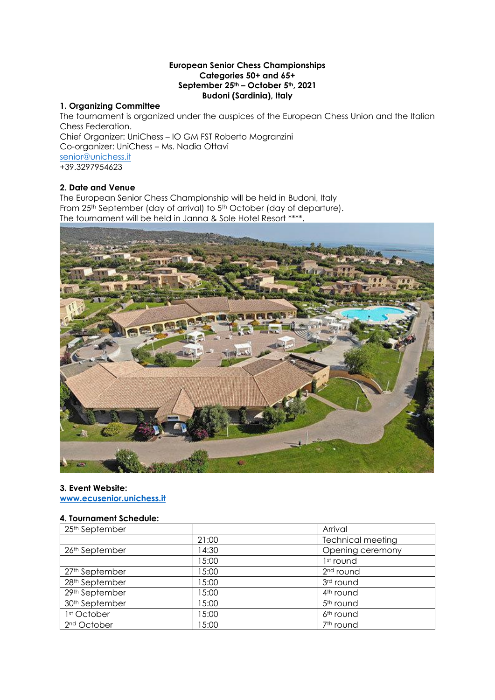### **European Senior Chess Championships Categories 50+ and 65+ September 25th – October 5th, 2021 Budoni (Sardinia), Italy**

# **1. Organizing Committee**

The tournament is organized under the auspices of the European Chess Union and the Italian Chess Federation. Chief Organizer: UniChess – IO GM FST Roberto Mogranzini Co-organizer: UniChess – Ms. Nadia Ottavi [senior@unichess.it](mailto:senior@unichess.it) +39.3297954623

# **2. Date and Venue**

The European Senior Chess Championship will be held in Budoni, Italy From 25<sup>th</sup> September (day of arrival) to 5<sup>th</sup> October (day of departure). The tournament will be held in Janna & Sole Hotel Resort \*\*\*\*.



### **3. Event Website:**

**[www.ecusenior.unichess.it](http://www.ecusenior.unichess.it/)**

## **4. Tournament Schedule:**

| 25 <sup>th</sup> September |       | Arrival                  |  |
|----------------------------|-------|--------------------------|--|
|                            | 21:00 | <b>Technical meeting</b> |  |
| 26th September             | 14:30 | Opening ceremony         |  |
|                            | 15:00 | 1 <sup>st</sup> round    |  |
| 27th September             | 15:00 | 2 <sup>nd</sup> round    |  |
| 28th September             | 15:00 | 3rd round                |  |
| 29th September             | 15:00 | 4 <sup>th</sup> round    |  |
| 30 <sup>th</sup> September | 15:00 | 5 <sup>th</sup> round    |  |
| 1st October                | 15:00 | 6 <sup>th</sup> round    |  |
| 2 <sup>nd</sup> October    | 15:00 | 7 <sup>th</sup> round    |  |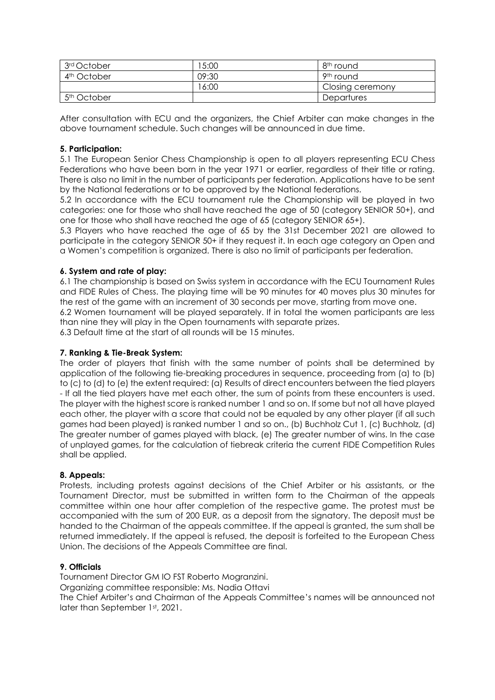| 3rd October             | 5:00  | 8 <sup>th</sup> round |
|-------------------------|-------|-----------------------|
| 4 <sup>th</sup> October | 09:30 | 9 <sup>th</sup> round |
|                         | 16:00 | Closing ceremony      |
| 5 <sup>th</sup> October |       | Departures            |

After consultation with ECU and the organizers, the Chief Arbiter can make changes in the above tournament schedule. Such changes will be announced in due time.

### **5. Participation:**

5.1 The European Senior Chess Championship is open to all players representing ECU Chess Federations who have been born in the year 1971 or earlier, regardless of their title or rating. There is also no limit in the number of participants per federation. Applications have to be sent by the National federations or to be approved by the National federations.

5.2 In accordance with the ECU tournament rule the Championship will be played in two categories: one for those who shall have reached the age of 50 (category SENIOR 50+), and one for those who shall have reached the age of 65 (category SENIOR 65+).

5.3 Players who have reached the age of 65 by the 31st December 2021 are allowed to participate in the category SENIOR 50+ if they request it. In each age category an Open and a Women's competition is organized. There is also no limit of participants per federation.

## **6. System and rate of play:**

6.1 The championship is based on Swiss system in accordance with the ECU Tournament Rules and FIDE Rules of Chess. The playing time will be 90 minutes for 40 moves plus 30 minutes for the rest of the game with an increment of 30 seconds per move, starting from move one.

6.2 Women tournament will be played separately. If in total the women participants are less than nine they will play in the Open tournaments with separate prizes.

6.3 Default time at the start of all rounds will be 15 minutes.

### **7. Ranking & Tie-Break System:**

The order of players that finish with the same number of points shall be determined by application of the following tie-breaking procedures in sequence, proceeding from (a) to (b) to (c) to (d) to (e) the extent required: (a) Results of direct encounters between the tied players - If all the tied players have met each other, the sum of points from these encounters is used. The player with the highest score is ranked number 1 and so on. If some but not all have played each other, the player with a score that could not be equaled by any other player (if all such games had been played) is ranked number 1 and so on., (b) Buchholz Cut 1, (c) Buchholz, (d) The greater number of games played with black, (e) The greater number of wins. In the case of unplayed games, for the calculation of tiebreak criteria the current FIDE Competition Rules shall be applied.

### **8. Appeals:**

Protests, including protests against decisions of the Chief Arbiter or his assistants, or the Tournament Director, must be submitted in written form to the Chairman of the appeals committee within one hour after completion of the respective game. The protest must be accompanied with the sum of 200 EUR, as a deposit from the signatory. The deposit must be handed to the Chairman of the appeals committee. If the appeal is granted, the sum shall be returned immediately. If the appeal is refused, the deposit is forfeited to the European Chess Union. The decisions of the Appeals Committee are final.

### **9. Officials**

Tournament Director GM IO FST Roberto Mogranzini. Organizing committee responsible: Ms. Nadia Ottavi The Chief Arbiter's and Chairman of the Appeals Committee's names will be announced not later than September 1st, 2021.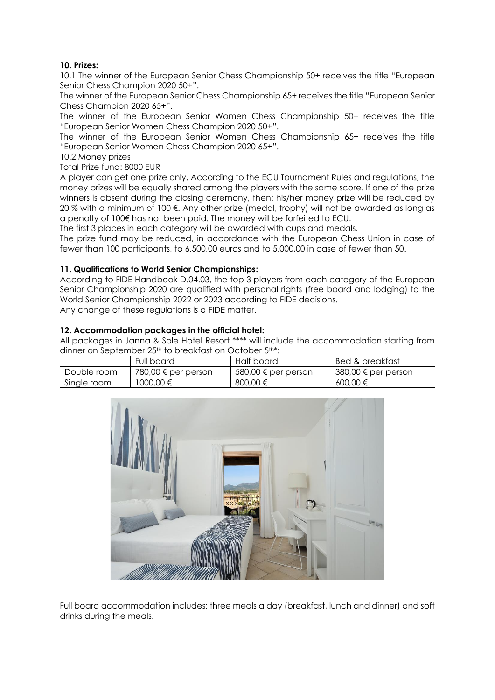## **10. Prizes:**

10.1 The winner of the European Senior Chess Championship 50+ receives the title "European Senior Chess Champion 2020 50+".

The winner of the European Senior Chess Championship 65+ receives the title "European Senior Chess Champion 2020 65+".

The winner of the European Senior Women Chess Championship 50+ receives the title "European Senior Women Chess Champion 2020 50+".

The winner of the European Senior Women Chess Championship 65+ receives the title "European Senior Women Chess Champion 2020 65+".

10.2 Money prizes

Total Prize fund: 8000 EUR

A player can get one prize only. According to the ECU Tournament Rules and regulations, the money prizes will be equally shared among the players with the same score. If one of the prize winners is absent during the closing ceremony, then: his/her money prize will be reduced by 20 % with a minimum of 100 €. Any other prize (medal, trophy) will not be awarded as long as a penalty of 100€ has not been paid. The money will be forfeited to ECU.

The first 3 places in each category will be awarded with cups and medals.

The prize fund may be reduced, in accordance with the European Chess Union in case of fewer than 100 participants, to 6.500,00 euros and to 5.000,00 in case of fewer than 50.

### **11. Qualifications to World Senior Championships:**

According to FIDE Handbook D.04.03, the top 3 players from each category of the European Senior Championship 2020 are qualified with personal rights (free board and lodging) to the World Senior Championship 2022 or 2023 according to FIDE decisions.

Any change of these regulations is a FIDE matter.

### **12. Accommodation packages in the official hotel:**

All packages in Janna & Sole Hotel Resort \*\*\*\* will include the accommodation starting from dinner on September 25<sup>th</sup> to breakfast on October 5<sup>th\*</sup>:

|             | Full board                   | Half board          | Bed & breakfast     |
|-------------|------------------------------|---------------------|---------------------|
| Double room | 780,00 $\epsilon$ per person | 580,00 € per person | 380,00 € per person |
| Single room | 1000.00 €                    | 800.00 €            | 600.00 €            |



Full board accommodation includes: three meals a day (breakfast, lunch and dinner) and soft drinks during the meals.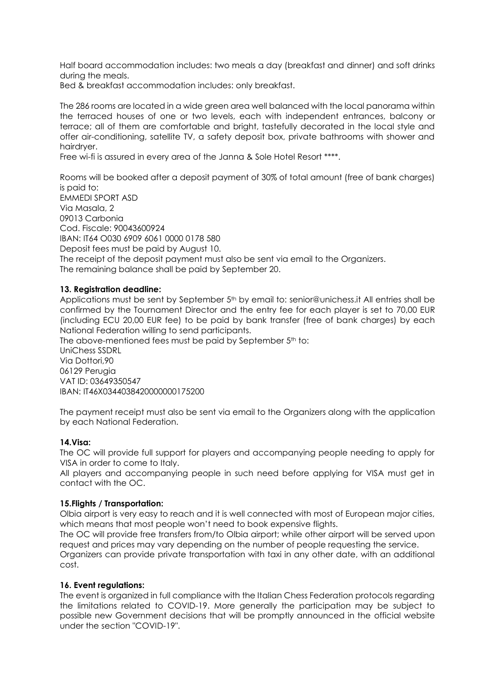Half board accommodation includes: two meals a day (breakfast and dinner) and soft drinks during the meals.

Bed & breakfast accommodation includes: only breakfast.

The 286 rooms are located in a wide green area well balanced with the local panorama within the terraced houses of one or two levels, each with independent entrances, balcony or terrace; all of them are comfortable and bright, tastefully decorated in the local style and offer air-conditioning, satellite TV, a safety deposit box, private bathrooms with shower and hairdryer.

Free wi-fi is assured in every area of the Janna & Sole Hotel Resort \*\*\*\*.

Rooms will be booked after a deposit payment of 30% of total amount (free of bank charges) is paid to:

EMMEDI SPORT ASD Via Masala, 2 09013 Carbonia Cod. Fiscale: 90043600924 IBAN: IT64 O030 6909 6061 0000 0178 580 Deposit fees must be paid by August 10. The receipt of the deposit payment must also be sent via email to the Organizers. The remaining balance shall be paid by September 20.

### **13. Registration deadline:**

Applications must be sent by September 5<sup>th</sup> by email to: senior@unichess.it All entries shall be confirmed by the Tournament Director and the entry fee for each player is set to 70,00 EUR (including ECU 20,00 EUR fee) to be paid by bank transfer (free of bank charges) by each National Federation willing to send participants.

The above-mentioned fees must be paid by September 5<sup>th</sup> to: UniChess SSDRL Via Dottori,90 06129 Perugia VAT ID: 03649350547 IBAN: IT46X0344038420000000175200

The payment receipt must also be sent via email to the Organizers along with the application by each National Federation.

#### **14.Visa:**

The OC will provide full support for players and accompanying people needing to apply for VISA in order to come to Italy.

All players and accompanying people in such need before applying for VISA must get in contact with the OC.

#### **15.Flights / Transportation:**

Olbia airport is very easy to reach and it is well connected with most of European major cities, which means that most people won't need to book expensive flights.

The OC will provide free transfers from/to Olbia airport; while other airport will be served upon request and prices may vary depending on the number of people requesting the service.

Organizers can provide private transportation with taxi in any other date, with an additional cost.

#### **16. Event regulations:**

The event is organized in full compliance with the Italian Chess Federation protocols regarding the limitations related to COVID-19. More generally the participation may be subject to possible new Government decisions that will be promptly announced in the official website under the section "COVID-19".